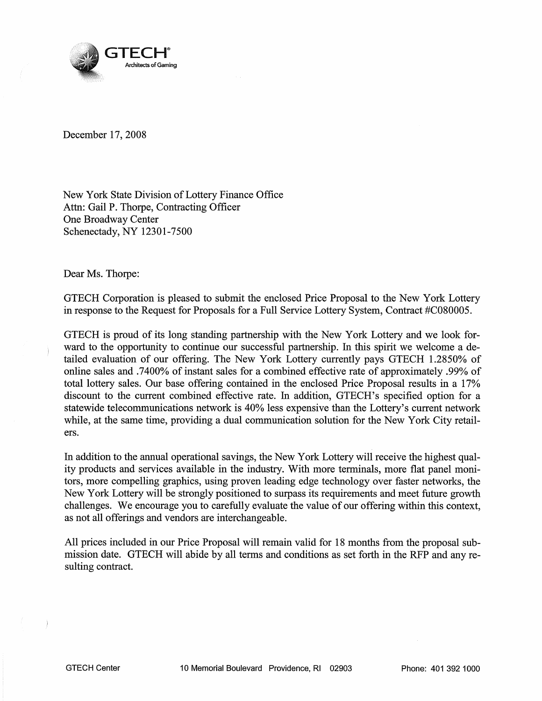

December 17, 2008

New York State Division of Lottery Finance Office Attn: Gail P. Thorpe, Contracting Officer One Broadway Center Schenectady, NY 12301-7500

Dear Ms. Thorpe:

GTECH Corporation is pleased to submit the enclosed Price Proposal to the New York Lottery in response to the Request for Proposals for a Full Service Lottery System, Contract #C080005.

GTECH is proud of its long standing partnership with the New York Lottery and we look forward to the opportunity to continue our successful partnership. In this spirit we welcome a detailed evaluation of our offering. The New York Lottery currently pays GTECH 1.2850% of online sales and .7400% ofinstant sales for a combined effective rate of approximately .99% of total lottery sales. Our base offering contained in the enclosed Price Proposal results in a 17% discount to the current combined effective rate. In addition, GTECH's specified option for a statewide telecommunications network is 40% less expensive than the Lottery's current network while, at the same time, providing a dual communication solution for the New York City retailers.

In addition to the annual operational savings, the New York Lottery will receive the highest quality products and services available in the industry. With more terminals, more flat panel monitors, more compelling graphics, using proven leading edge technology over faster networks, the New York Lottery will be strongly positioned to surpass its requirements and meet future growth challenges. We encourage you to carefully evaluate the value of our offering within this context, as not all offerings and vendors are interchangeable.

All prices included in our Price Proposal will remain valid for 18 months from the proposal submission date. GTECH will abide by all terms and conditions as set forth in the RFP and any resulting contract.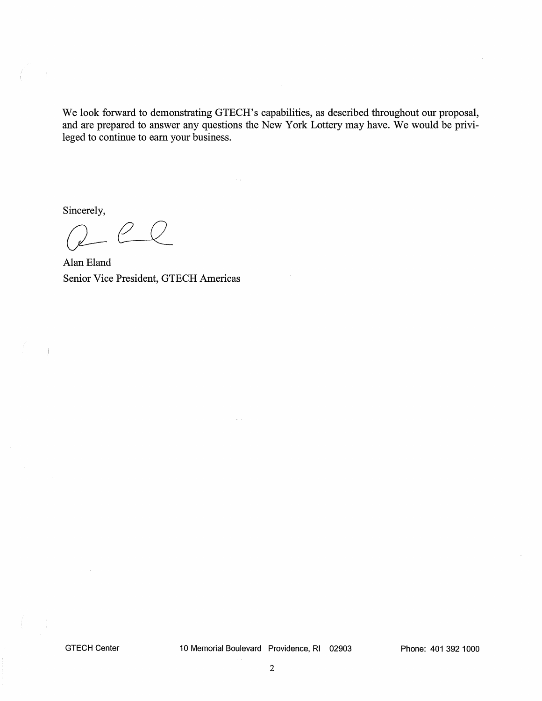We look forward to demonstrating GTECH's capabilities, as described throughout our proposal, and are prepared to answer any questions the New York Lottery may have. We would be privileged to continue to earn your business.

Sincerely,

 $\Big)$ 

 $eQ$ 

Alan Eland Senior Vice President, GTECH Americas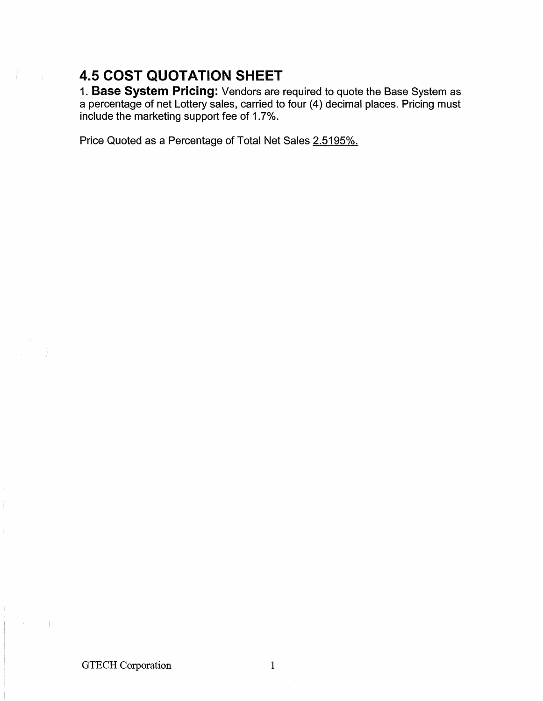## 4.5 COST QUOTATION SHEET

1. Base System Pricing: Vendors are required to quote the Base System as a percentage of net Lottery sales, carried to four (4) decimal places. Pricing must include the marketing support fee of 1.7%.

Price Quoted as a Percentage of Total Net Sales 2.5195%.

GTECH Corporation 1

 $\Big)$ 

 $\sim$  ).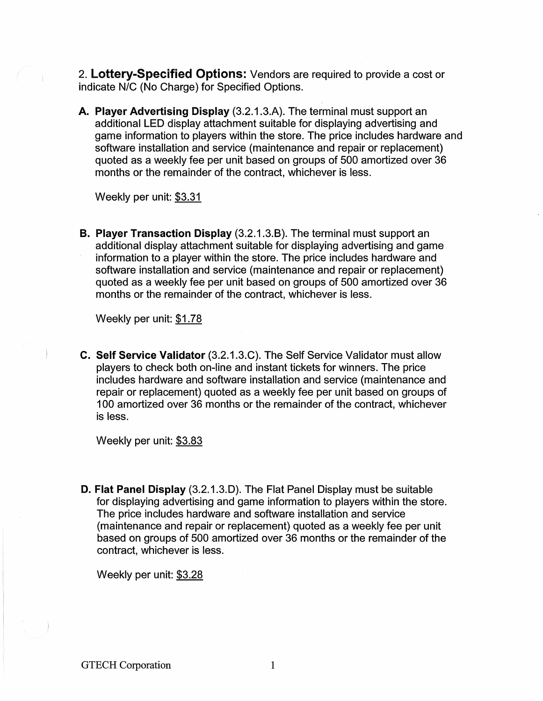2. **Lottery-Specified Options:** Vendors are required to provide a cost or indicate N/C (No Charge) for Specified Options.

**A. Player Advertising Display** (3.2.1.3.A). The terminal must support an additional LED display attachment suitable for displaying advertising and game information to players within the store. The price includes hardware and software installation and service (maintenance and repair or replacement) quoted as a weekly fee per unit based on groups of 500 amortized over 36 months or the remainder of the contract, whichever is less.

Weekly per unit: \$3.31

**B. Player Transaction Display** (3.2.1.3.8). The terminal must support an additional display attachment suitable for displaying advertising and game information to a player within the store. The price includes hardware and software installation and service (maintenance and repair or replacement) quoted as a weekly fee per unit based on groups of 500 amortized over 36 months or the remainder of the contract, whichever is less.

Weekly per unit: \$1.78

**C. Self Service Validator** (3.2.1.3.C). The Self Service Validator must allow players to check both on-line and instant tickets for winners. The price includes hardware and software installation and service (maintenance and repair or replacement) quoted as a weekly fee per unit based on groups of 100 amortized over 36 months or the remainder of the contract, whichever is less.

Weekly per unit: \$3.83

**D. Flat Panel Display** (3.2.1.3.0). The Flat Panel Display must be suitable for displaying advertising and game information to players within the store. The price includes hardware and software installation and service (maintenance and repair or replacement) quoted as a weekly fee per unit based on groups of 500 amortized over 36 months or the remainder of the contract, whichever is less.

Weekly per unit: \$3.28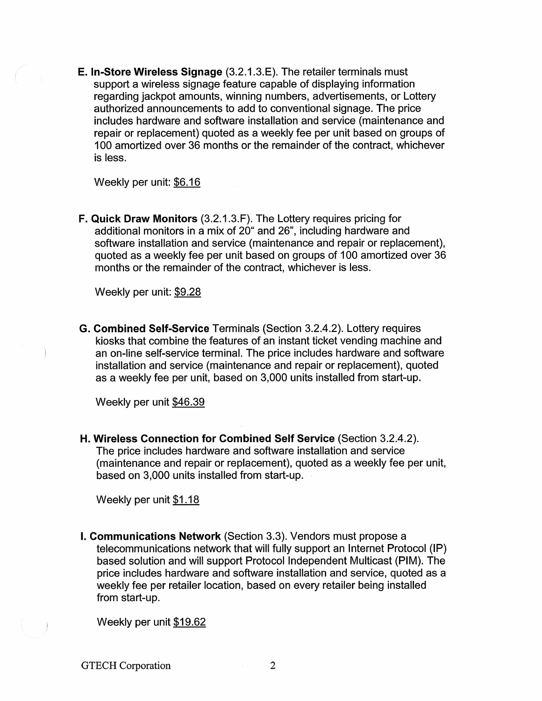E. In-Store Wireless Signage (3.2.1.3.E). The retailer terminals must support a wireless signage feature capable of displaying information regarding jackpot amounts, winning numbers, advertisements, or Lottery authorized announcements to add to conventional signage. The price includes hardware and software installation and service (maintenance and repair or replacement) quoted as a weekly fee per unit based on groups of 100 amortized over 36 months or the remainder of the contract, whichever is less.

Weekly per unit:  $$6.16$ 

F. Quick Draw Monitors (3.2.1.3.F). The Lottery requires pricing for additional monitors in a mix of 20" and 26", including hardware and software installation and service (maintenance and repair or replacement), quoted as a weekly fee per unit based on groups of 100 amortized over 36 months or the remainder of the contract, whichever is less.

Weekly per unit:  $$9.28$ 

G. Combined Self-Service Terminals (Section 3.2.4.2). Lottery requires kiosks that combine the features of an instant ticket vending machine and an on-line self-service terminal. The price includes hardware and software installation and service (maintenance and repair or replacement), quoted as a weekly fee per unit, based on 3,000 units installed from start-up.

Weekly per unit \$46.39

H. Wireless Connection for Combined Self Service (Section 3.2.4.2). The price includes hardware and software installation and service (maintenance and repair or replacement), quoted as a weekly fee per unit, based on 3,000 units installed from start-up.

Weekly per unit \$1.18

I. Communications Network (Section 3.3). Vendors must propose a telecommunications network that will fully support an Internet Protocol (IP) based solution and will support Protocol Independent Multicast (PIM). The price includes hardware and software installation and service, quoted as a weekly fee per retailer location, based on every retailer being installed from start-up.

Weekly per unit  $$19.62$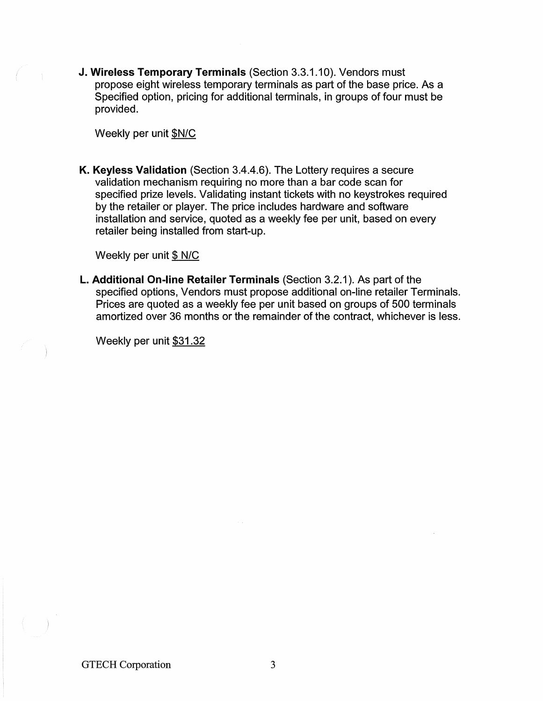J. Wireless Temporary Terminals (Section 3.3.1.10). Vendors must propose eight wireless temporary terminals as part of the base price. As a Specified option, pricing for additional terminals, in groups of four must be provided.

Weekly per unit \$N/C

K. Keyless Validation (Section 3.4.4.6). The Lottery requires a secure validation mechanism requiring no more than a bar code scan for specified prize levels. Validating instant tickets with no keystrokes required by the retailer or player. The price includes hardware and software installation and service, quoted as a weekly fee per unit, based on every retailer being installed from start-up.

Weekly per unit  $$ N/C$ 

L. Additional On-line Retailer Terminals (Section 3.2.1). As part of the specified options, Vendors must propose additional on-line retailer Terminals. Prices are quoted as a weekly fee per unit based on groups of 500 terminals amortized over 36 months or the remainder of the contract, whichever is less.

Weekly per unit \$31.32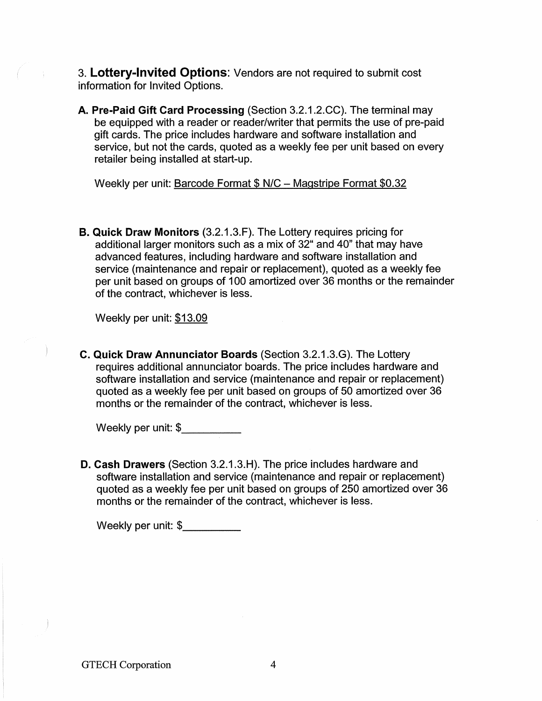3. Lottery-Invited Options: Vendors are not required to submit cost information for Invited Options.

A. Pre-Paid Gift Card Processing (Section 3.2.1.2.CC). The terminal may be equipped with a reader or reader/writer that permits the use of pre-paid gift cards. The price includes hardware and software installation and service, but not the cards, quoted as a weekly fee per unit based on every retailer being installed at start-up.

Weekly per unit: Barcode Format \$ N/C - Magstripe Format \$0.32

B. Quick Draw Monitors (3.2.1.3.F). The Lottery requires pricing for additional larger monitors such as a mix of 32" and 40" that may have advanced features, including hardware and software installation and service (maintenance and repair or replacement), quoted as a weekly fee per unit based on groups of 100 amortized over 36 months or the remainder of the contract, whichever is less.

Weekly per unit: \$13.09

C. Quick Draw Annunciator Boards (Section 3.2.1.3.G). The Lottery requires additional annunciator boards. The price includes hardware and software installation and service (maintenance and repair or replacement) quoted as a weekly fee per unit based on groups of 50 amortized over 36 months or the remainder of the contract, whichever is less.

Weekly per unit: \$ \_

D. Cash Drawers (Section 3.2.1.3.H). The price includes hardware and software installation and service (maintenance and repair or replacement) quoted as a weekly fee per unit based on groups of 250 amortized over 36 months or the remainder of the contract, whichever is less.

Weekly per unit: \$\_\_\_\_\_\_\_\_\_\_\_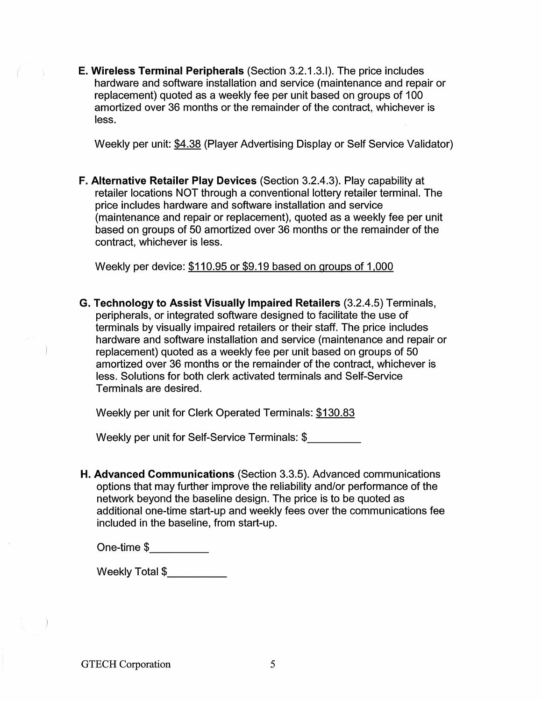E. Wireless Terminal Peripherals (Section 3.2.1.3.1). The price includes hardware and software installation and service (maintenance and repair or replacement) quoted as a weekly fee per unit based on groups of 100 amortized over 36 months or the remainder of the contract, whichever is less.

Weekly per unit: \$4.38 (Player Advertising Display or Self Service Validator)

F. Alternative Retailer Play Devices (Section 3.2.4.3). Play capability at retailer locations NOT through a conventional lottery retailer terminal. The price includes hardware and software installation and service (maintenance and repair or replacement), quoted as a weekly fee per unit based on groups of 50 amortized over 36 months or the remainder of the contract, whichever is less.

Weekly per device:  $$110.95$  or  $$9.19$  based on groups of  $1,000$ 

G. Technology to Assist Visually Impaired Retailers (3.2.4.5) Terminals, peripherals, or integrated software designed to facilitate the use of terminals by visually impaired retailers or their staff. The price includes hardware and software installation and service (maintenance and repair or replacement) quoted as a weekly fee per unit based on groups of 50 amortized over 36 months or the remainder of the contract, whichever is less. Solutions for both clerk activated terminals and Self-Service Terminals are desired.

Weekly per unit for Clerk Operated Terminals: \$130.83

Weekly per unit for Self-Service Terminals: \$ \_

H. Advanced Communications (Section 3.3.5). Advanced communications options that may further improve the reliability and/or performance of the network beyond the baseline design. The price is to be quoted as additional one-time start-up and weekly fees over the communications fee included in the baseline, from start-up.

One-time  $$-$ 

Weekly Total \$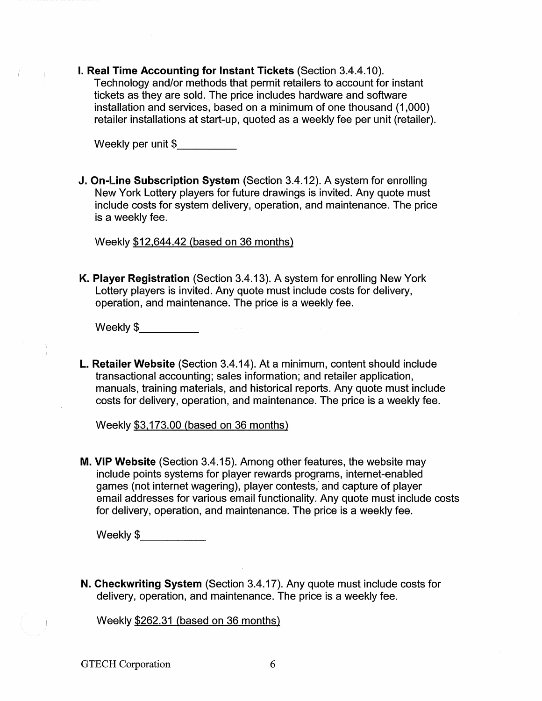I. Real Time Accounting for Instant Tickets (Section 3.4.4.10). Technology and/or methods that permit retailers to account for instant tickets as they are sold. The price includes hardware and software installation and services, based on a minimum of one thousand (1,000) retailer installations at start-up, quoted as a weekly fee per unit (retailer).

Weekly per unit \$

J. On-Line Subscription System (Section 3.4.12). A system for enrolling New York Lottery players for future drawings is invited. Any quote must include costs for system delivery, operation, and maintenance. The price is a weekly fee.

Weekly \$12,644.42 (based on 36 months)

K. Player Registration (Section 3.4.13). A system for enrolling New York Lottery players is invited. Any quote must include costs for delivery, operation, and maintenance. The price is a weekly fee.

Weekly \$ \_

L. Retailer Website (Section 3.4.14). At a minimum, content should include transactional accounting; sales information; and retailer application, manuals, training materials, and historical reports. Any quote must include costs for delivery, operation, and maintenance. The price is a weekly fee.

Weekly \$3,173.00 (based on 36 months)

M. VIP Website (Section 3.4.15). Among other features, the website may include points systems for player rewards programs, internet-enabled games (not internet wagering), player contests, and capture of player email addresses for various email functionality. Any quote must include costs for delivery, operation, and maintenance. The price is a weekly fee.

Weekly \$\_\_\_\_\_\_\_\_\_\_\_\_\_

N. Checkwriting System (Section 3.4.17). Any quote must include costs for delivery, operation, and maintenance. The price is a weekly fee.

Weekly \$262.31 (based on 36 months)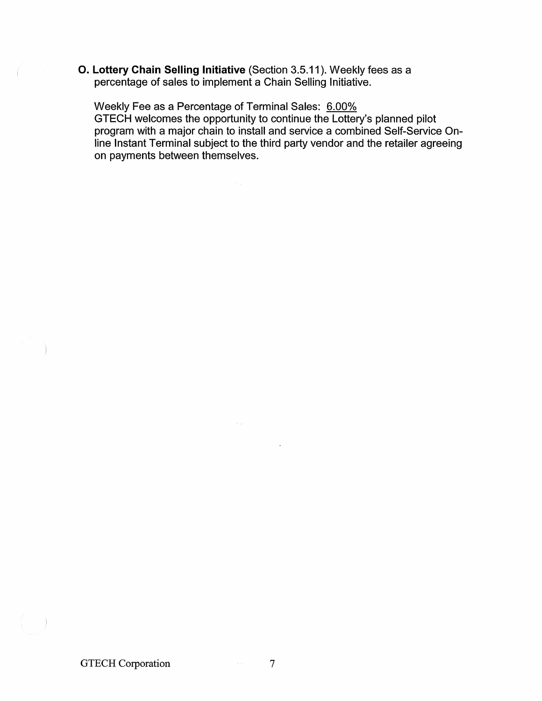O. **Lottery Chain Selling Initiative** (Section 3.5.11). Weekly fees as a percentage of sales to implement a Chain Selling Initiative.

 $\sim 10^7$ 

Weekly Fee as a Percentage of Terminal Sales: 6.00% GTECH welcomes the opportunity to continue the Lottery's planned pilot program with a major chain to install and service a combined Self-Service Online Instant Terminal subject to the third party vendor and the retailer agreeing on payments between themselves.

 $\Big)$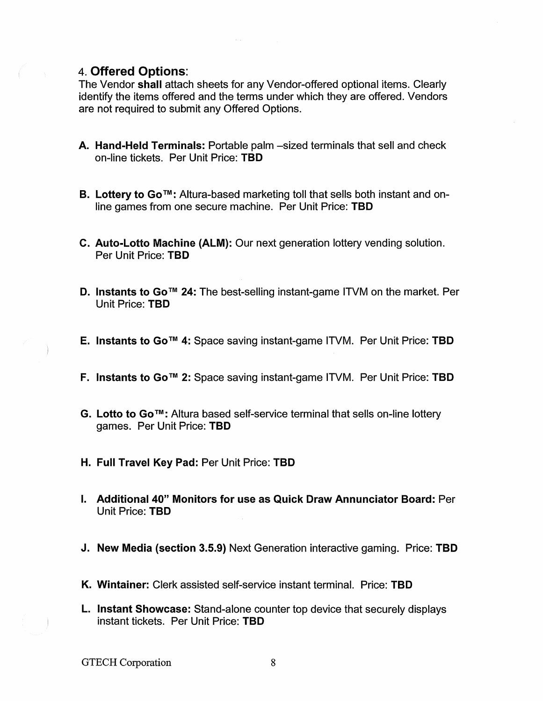## 4. Offered Options:

The Vendor shall attach sheets for any Vendor-offered optional items. Clearly identify the items offered and the terms under which they are offered. Vendors are not required to submit any Offered Options.

- A. Hand-Held Terminals: Portable palm -sized terminals that sell and check on-line tickets. Per Unit Price: TBD
- B. Lottery to Go™: Altura-based marketing toll that sells both instant and online games from one secure machine. Per Unit Price: TBD
- c. Auto-Lotto Machine (ALM): Our next generation lottery vending solution. Per Unit Price: TBD
- D. Instants to Go<sup>™</sup> 24: The best-selling instant-game ITVM on the market. Per Unit Price: TBD
- E. Instants to Go<sup>™</sup> 4: Space saving instant-game ITVM. Per Unit Price: TBD
- F. Instants to Go<sup>™</sup> 2: Space saving instant-game ITVM. Per Unit Price: TBD
- G. Lotto to Go™: Altura based self-service terminal that sells on-line lottery games. Per Unit Price: TBD
- H. Full Travel Key Pad: Per Unit Price: TBD
- I. Additional 40" Monitors for use as Quick Draw Annunciator Board: Per Unit Price: TBD
- J. New Media (section 3.5.9) Next Generation interactive gaming. Price: TBD
- K. Wintainer: Clerk assisted self-service instant terminal. Price: TBD
- L. Instant Showcase: Stand-alone counter top device that securely displays instant tickets. Per Unit Price: TBD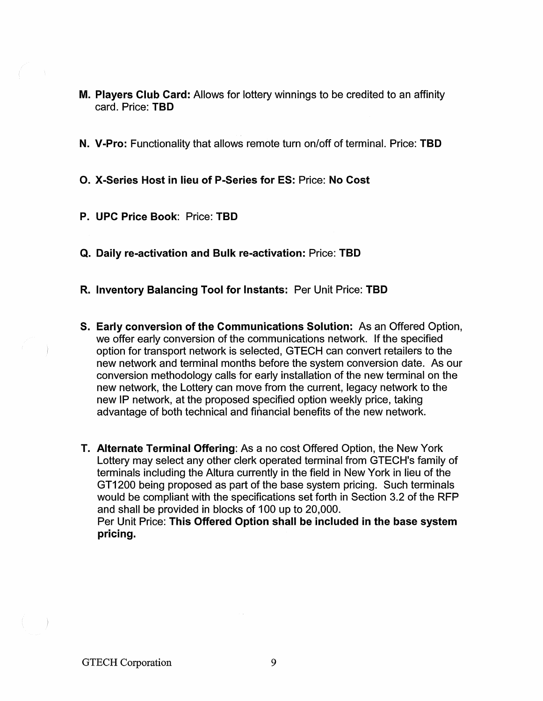- M. Players Club Card: Allows for lottery winnings to be credited to an affinity card. Price: TBD
- N. V-Pro: Functionality that allows remote turn on/off of terminal. Price: TBD

O. X-Series Host in lieu of P-Series for ES: Price: No Cost

- P. UPC Price Book: Price: TBD
- Q. Daily re-activation and Bulk re-activation: Price: TBD
- R. Inventory Balancing Tool for Instants: Per Unit Price: TBD
- S. Early conversion of the Communications Solution: As an Offered Option, we offer early conversion of the communications network. If the specified option for transport network is selected, GTECH can convert retailers to the new network and terminal months before the system conversion date. As our conversion methodology calls for early installation of the new terminal on the new network, the Lottery can move from the current, legacy network to the new IP network, at the proposed specified option weekly price, taking advantage of both technical and financial benefits of the new network.
- T. Alternate Terminal Offering: As a no cost Offered Option, the New York Lottery may select any other clerk operated terminal from GTECH's family of terminals including the Altura currently in the field in New York in lieu of the GT1200 being proposed as part of the base system pricing. Such terminals would be compliant with the specifications set forth in Section 3.2 of the RFP and shall be provided in blocks of 100 up to 20,000. Per Unit Price: This Offered Option shall be included in the base system pricing.